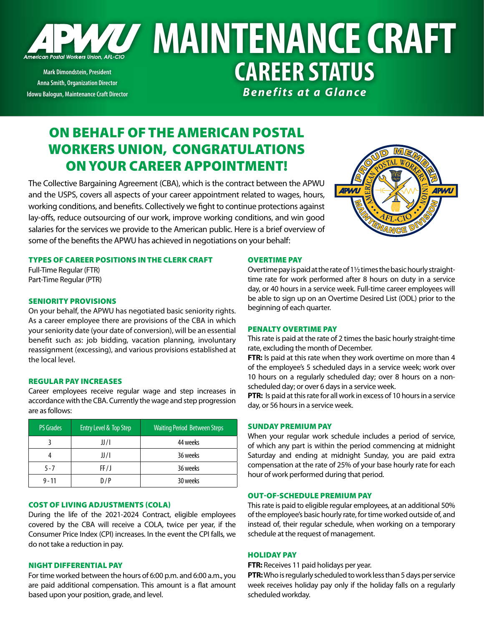

**Mark Dimondstein, President Anna Smith, Organization Director Idowu Balogun, Maintenance Craft Director**

# **WAY MAINTENANCE CRAFT CAREER STATUS** *Benefits at a Glance*

# ON BEHALF OF THE AMERICAN POSTAL WORKERS UNION, CONGRATULATIONS ON YOUR CAREER APPOINTMENT!

The Collective Bargaining Agreement (CBA), which is the contract between the APWU and the USPS, covers all aspects of your career appointment related to wages, hours, working conditions, and benefits. Collectively we fight to continue protections against lay-offs, reduce outsourcing of our work, improve working conditions, and win good salaries for the services we provide to the American public. Here is a brief overview of some of the benefits the APWU has achieved in negotiations on your behalf:

# TYPES OF CAREER POSITIONS IN THE CLERK CRAFT

Full-Time Regular (FTR) Part-Time Regular (PTR)

#### SENIORITY PROVISIONS

On your behalf, the APWU has negotiated basic seniority rights. As a career employee there are provisions of the CBA in which your seniority date (your date of conversion), will be an essential benefit such as: job bidding, vacation planning, involuntary reassignment (excessing), and various provisions established at the local level.

#### REGULAR PAY INCREASES

Career employees receive regular wage and step increases in accordance with the CBA. Currently the wage and step progression are as follows:

| <b>PS Grades</b> | Entry Level & Top Step | <b>Waiting Period Between Steps</b> |
|------------------|------------------------|-------------------------------------|
|                  | JJ / I                 | 44 weeks                            |
|                  | JJ/I                   | 36 weeks                            |
| $5 - 7$          | FF/J                   | 36 weeks                            |
| $9 - 11$         | D/P                    | 30 weeks                            |

#### COST OF LIVING ADJUSTMENTS (COLA)

During the life of the 2021-2024 Contract, eligible employees covered by the CBA will receive a COLA, twice per year, if the Consumer Price Index (CPI) increases. In the event the CPI falls, we do not take a reduction in pay.

#### NIGHT DIFFERENTIAL PAY

For time worked between the hours of 6:00 p.m. and 6:00 a.m., you are paid additional compensation. This amount is a flat amount based upon your position, grade, and level.



#### OVERTIME PAY

Overtime pay is paid at the rate of 1½ times the basic hourly straighttime rate for work performed after 8 hours on duty in a service day, or 40 hours in a service week. Full-time career employees will be able to sign up on an Overtime Desired List (ODL) prior to the beginning of each quarter.

#### PENALTY OVERTIME PAY

This rate is paid at the rate of 2 times the basic hourly straight-time rate, excluding the month of December.

**FTR:** Is paid at this rate when they work overtime on more than 4 of the employee's 5 scheduled days in a service week; work over 10 hours on a regularly scheduled day; over 8 hours on a nonscheduled day; or over 6 days in a service week.

**PTR:** Is paid at this rate for all work in excess of 10 hours in a service day, or 56 hours in a service week.

### SUNDAY PREMIUM PAY

When your regular work schedule includes a period of service, of which any part is within the period commencing at midnight Saturday and ending at midnight Sunday, you are paid extra compensation at the rate of 25% of your base hourly rate for each hour of work performed during that period.

# OUT-OF-SCHEDULE PREMIUM PAY

This rate is paid to eligible regular employees, at an additional 50% of the employee's basic hourly rate, for time worked outside of, and instead of, their regular schedule, when working on a temporary schedule at the request of management.

#### HOLIDAY PAY

**FTR:** Receives 11 paid holidays per year.

**PTR:** Who is regularly scheduled to work less than 5 days per service week receives holiday pay only if the holiday falls on a regularly scheduled workday.